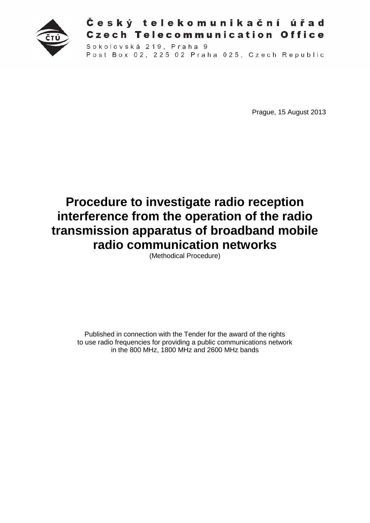

## Český telekomunikační úřad **Czech Telecommunication Office**

Sokolovská 219, Praha 9 Post Box 02, 225 02 Praha 025, Czech Republic

Prague, 15 August 2013

# **Procedure to investigate radio reception interference from the operation of the radio transmission apparatus of broadband mobile radio communication networks**

(Methodical Procedure)

Published in connection with the Tender for the award of the rights to use radio frequencies for providing a public communications network in the 800 MHz, 1800 MHz and 2600 MHz bands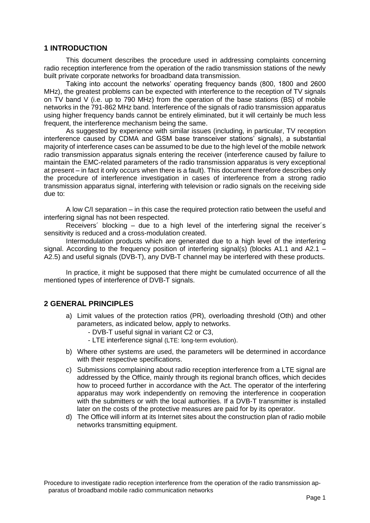#### **1 INTRODUCTION**

This document describes the procedure used in addressing complaints concerning radio reception interference from the operation of the radio transmission stations of the newly built private corporate networks for broadband data transmission.

Taking into account the networks' operating frequency bands (800, 1800 and 2600 MHz), the greatest problems can be expected with interference to the reception of TV signals on TV band V (i.e. up to 790 MHz) from the operation of the base stations (BS) of mobile networks in the 791-862 MHz band. Interference of the signals of radio transmission apparatus using higher frequency bands cannot be entirely eliminated, but it will certainly be much less frequent, the interference mechanism being the same.

As suggested by experience with similar issues (including, in particular, TV reception interference caused by CDMA and GSM base transceiver stations' signals), a substantial majority of interference cases can be assumed to be due to the high level of the mobile network radio transmission apparatus signals entering the receiver (interference caused by failure to maintain the EMC-related parameters of the radio transmission apparatus is very exceptional at present – in fact it only occurs when there is a fault). This document therefore describes only the procedure of interference investigation in cases of interference from a strong radio transmission apparatus signal, interfering with television or radio signals on the receiving side due to:

A low C/I separation – in this case the required protection ratio between the useful and interfering signal has not been respected.

Receivers´ blocking – due to a high level of the interfering signal the receiver´s sensitivity is reduced and a cross-modulation created.

Intermodulation products which are generated due to a high level of the interfering signal. According to the frequency position of interfering signal(s) (blocks A1.1 and A2.1 – A2.5) and useful signals (DVB-T), any DVB-T channel may be interfered with these products.

In practice, it might be supposed that there might be cumulated occurrence of all the mentioned types of interference of DVB-T signals.

## **2 GENERAL PRINCIPLES**

- a) Limit values of the protection ratios (PR), overloading threshold (Oth) and other parameters, as indicated below, apply to networks.
	- DVB-T useful signal in variant C2 or C3,
	- LTE interference signal (LTE: long-term evolution).
- b) Where other systems are used, the parameters will be determined in accordance with their respective specifications.
- c) Submissions complaining about radio reception interference from a LTE signal are addressed by the Office, mainly through its regional branch offices, which decides how to proceed further in accordance with the Act. The operator of the interfering apparatus may work independently on removing the interference in cooperation with the submitters or with the local authorities. If a DVB-T transmitter is installed later on the costs of the protective measures are paid for by its operator.
- d) The Office will inform at its Internet sites about the construction plan of radio mobile networks transmitting equipment.

Procedure to investigate radio reception interference from the operation of the radio transmission apparatus of broadband mobile radio communication networks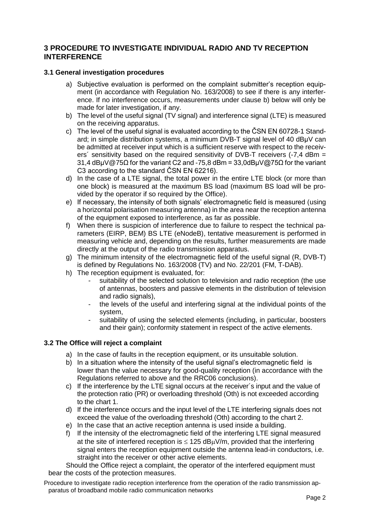## **3 PROCEDURE TO INVESTIGATE INDIVIDUAL RADIO AND TV RECEPTION INTERFERENCE**

#### **3.1 General investigation procedures**

- a) Subjective evaluation is performed on the complaint submitter's reception equipment (in accordance with Regulation No. 163/2008) to see if there is any interference. If no interference occurs, measurements under clause b) below will only be made for later investigation, if any.
- b) The level of the useful signal (TV signal) and interference signal (LTE) is measured on the receiving apparatus.
- c) The level of the useful signal is evaluated according to the ČSN EN 60728-1 Standard; in simple distribution systems, a minimum DVB-T signal level of 40 dBμV can be admitted at receiver input which is a sufficient reserve with respect to the receivers<sup> $\degree$ </sup> sensitivity based on the required sensitivity of DVB-T receivers  $(-7.4 \text{ dBm} =$ 31,4 dBμV@75Ω for the variant C2 and -75,8 dBm = 33,0dBμV@75Ω for the variant C3 according to the standard ČSN EN 62216).
- d) In the case of a LTE signal, the total power in the entire LTE block (or more than one block) is measured at the maximum BS load (maximum BS load will be provided by the operator if so required by the Office).
- e) If necessary, the intensity of both signals' electromagnetic field is measured (using a horizontal polarisation measuring antenna) in the area near the reception antenna of the equipment exposed to interference, as far as possible.
- f) When there is suspicion of interference due to failure to respect the technical parameters (EIRP, BEM) BS LTE (eNodeB), tentative measurement is performed in measuring vehicle and, depending on the results, further measurements are made directly at the output of the radio transmission apparatus.
- g) The minimum intensity of the electromagnetic field of the useful signal (R, DVB-T) is defined by Regulations No. 163/2008 (TV) and No. 22/201 (FM, T-DAB).
- h) The reception equipment is evaluated, for:
	- suitability of the selected solution to television and radio reception (the use of antennas, boosters and passive elements in the distribution of television and radio signals),
	- the levels of the useful and interfering signal at the individual points of the system,
	- suitability of using the selected elements (including, in particular, boosters and their gain); conformity statement in respect of the active elements.

#### **3.2 The Office will reject a complaint**

- a) In the case of faults in the reception equipment, or its unsuitable solution.
- b) In a situation where the intensity of the useful signal's electromagnetic field is lower than the value necessary for good-quality reception (in accordance with the Regulations referred to above and the RRC06 conclusions).
- c) If the interference by the LTE signal occurs at the receiver´s input and the value of the protection ratio (PR) or overloading threshold (Oth) is not exceeded according to the chart 1.
- d) If the interference occurs and the input level of the LTE interfering signals does not exceed the value of the overloading threshold (Oth) according to the chart 2.
- e) In the case that an active reception antenna is used inside a building.
- f) If the intensity of the electromagnetic field of the interfering LTE signal measured at the site of interfered reception is  $\leq 125$  dB $\mu$ V/m, provided that the interfering signal enters the reception equipment outside the antenna lead-in conductors, i.e. straight into the receiver or other active elements.

Should the Office reject a complaint, the operator of the interfered equipment must bear the costs of the protection measures.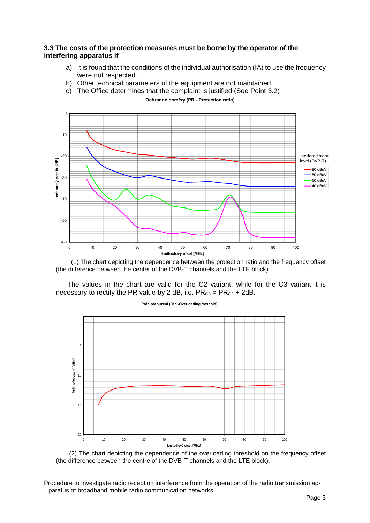#### **3.3 The costs of the protection measures must be borne by the operator of the interfering apparatus if**

- a) It is found that the conditions of the individual authorisation (IA) to use the frequency were not respected.
- b) Other technical parameters of the equipment are not maintained.
- c) The Office determines that the complaint is justified (See Point 3.2)

-60 -50  $-40$ -30 -20 -10  $\mathsf{C}$ 0 10 20 30 40 50 60 70 80 90 100 **kmitočtový ofset [MHz]**<br> **b**<br> **o o o o** 20 30 40 50 6<br> **kmitočtový ofset [MHz]** 90 dBuV 80 dBuV 60 dBuV 40 dBuV Interfered signal level (DVB-T)

**Ochranné poměry (PR - Protection ratio)**

 (1) The chart depicting the dependence between the protection ratio and the frequency offset (the difference between the center of the DVB-T channels and the LTE block).

 The values in the chart are valid for the C2 variant, while for the C3 variant it is necessary to rectify the PR value by 2 dB, i.e.  $PR_{C3} = PR_{C2} + 2dB$ .



**Práh přebuzení (Oth -Overloading treshold)** 

 (2) The chart depicting the dependence of the overloading threshold on the frequency offset (the difference between the centre of the DVB-T channels and the LTE block).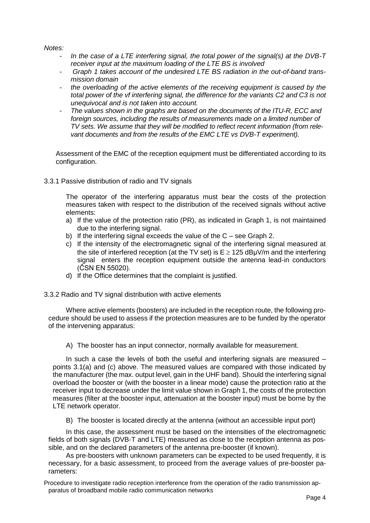*Notes:* 

- *In the case of a LTE interfering signal, the total power of the signal(s) at the DVB-T receiver input at the maximum loading of the LTE BS is involved*
- *Graph 1 takes account of the undesired LTE BS radiation in the out-of-band transmission domain*
- the overloading of the active elements of the receiving equipment is caused by the *total power of the vf interfering signal, the difference for the variants C2 and C3 is not unequivocal and is not taken into account.*
- *The values shown in the graphs are based on the documents of the ITU-R, ECC and foreign sources, including the results of measurements made on a limited number of TV sets. We assume that they will be modified to reflect recent information (from relevant documents and from the results of the EMC LTE vs DVB-T experiment).*

Assessment of the EMC of the reception equipment must be differentiated according to its configuration.

3.3.1 Passive distribution of radio and TV signals

The operator of the interfering apparatus must bear the costs of the protection measures taken with respect to the distribution of the received signals without active elements:

- a) If the value of the protection ratio (PR), as indicated in Graph 1, is not maintained due to the interfering signal.
- b) If the interfering signal exceeds the value of the C see Graph 2.
- c) If the intensity of the electromagnetic signal of the interfering signal measured at the site of interfered reception (at the TV set) is  $E \ge 125$  dBµV/m and the interfering signal enters the reception equipment outside the antenna lead-in conductors (ČSN EN 55020).
- d) If the Office determines that the complaint is justified.
- 3.3.2 Radio and TV signal distribution with active elements

Where active elements (boosters) are included in the reception route, the following procedure should be used to assess if the protection measures are to be funded by the operator of the intervening apparatus:

A) The booster has an input connector, normally available for measurement.

In such a case the levels of both the useful and interfering signals are measured – points 3.1(a) and (c) above. The measured values are compared with those indicated by the manufacturer (the max. output level, gain in the UHF band). Should the interfering signal overload the booster or (with the booster in a linear mode) cause the protection ratio at the receiver input to decrease under the limit value shown in Graph 1, the costs of the protection measures (filter at the booster input, attenuation at the booster input) must be borne by the LTE network operator.

B) The booster is located directly at the antenna (without an accessible input port)

In this case, the assessment must be based on the intensities of the electromagnetic fields of both signals (DVB-T and LTE) measured as close to the reception antenna as possible, and on the declared parameters of the antenna pre-booster (if known).

As pre-boosters with unknown parameters can be expected to be used frequently, it is necessary, for a basic assessment, to proceed from the average values of pre-booster parameters: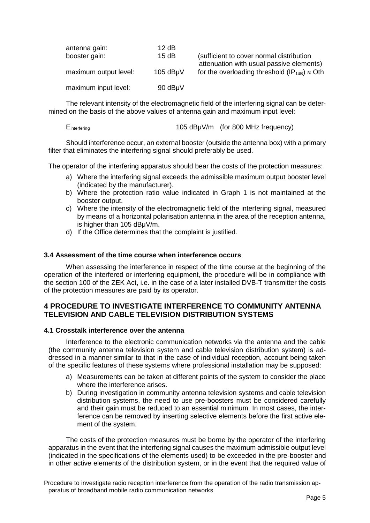| antenna gain:         | 12dB             |                                                                                      |
|-----------------------|------------------|--------------------------------------------------------------------------------------|
| booster gain:         | 15dB             | (sufficient to cover normal distribution<br>attenuation with usual passive elements) |
| maximum output level: | $105$ dB $\mu$ V | for the overloading threshold $(\mathsf{IP}_{1\text{dB}}) \approx \text{Oth}$        |
| maximum input level:  | 90 dBµV          |                                                                                      |

The relevant intensity of the electromagnetic field of the interfering signal can be determined on the basis of the above values of antenna gain and maximum input level:

Einterfering **105 dBuV/m** (for 800 MHz frequency)

Should interference occur, an external booster (outside the antenna box) with a primary filter that eliminates the interfering signal should preferably be used.

The operator of the interfering apparatus should bear the costs of the protection measures:

- a) Where the interfering signal exceeds the admissible maximum output booster level (indicated by the manufacturer).
- b) Where the protection ratio value indicated in Graph 1 is not maintained at the booster output.
- c) Where the intensity of the electromagnetic field of the interfering signal, measured by means of a horizontal polarisation antenna in the area of the reception antenna, is higher than 105 dBμV/m.
- d) If the Office determines that the complaint is justified.

#### **3.4 Assessment of the time course when interference occurs**

When assessing the interference in respect of the time course at the beginning of the operation of the interfered or interfering equipment, the procedure will be in compliance with the section 100 of the ZEK Act, i.e. in the case of a later installed DVB-T transmitter the costs of the protection measures are paid by its operator.

## **4 PROCEDURE TO INVESTIGATE INTERFERENCE TO COMMUNITY ANTENNA TELEVISION AND CABLE TELEVISION DISTRIBUTION SYSTEMS**

#### **4.1 Crosstalk interference over the antenna**

Interference to the electronic communication networks via the antenna and the cable (the community antenna television system and cable television distribution system) is addressed in a manner similar to that in the case of individual reception, account being taken of the specific features of these systems where professional installation may be supposed:

- a) Measurements can be taken at different points of the system to consider the place where the interference arises.
- b) During investigation in community antenna television systems and cable television distribution systems, the need to use pre-boosters must be considered carefully and their gain must be reduced to an essential minimum. In most cases, the interference can be removed by inserting selective elements before the first active element of the system.

The costs of the protection measures must be borne by the operator of the interfering apparatus in the event that the interfering signal causes the maximum admissible output level (indicated in the specifications of the elements used) to be exceeded in the pre-booster and in other active elements of the distribution system, or in the event that the required value of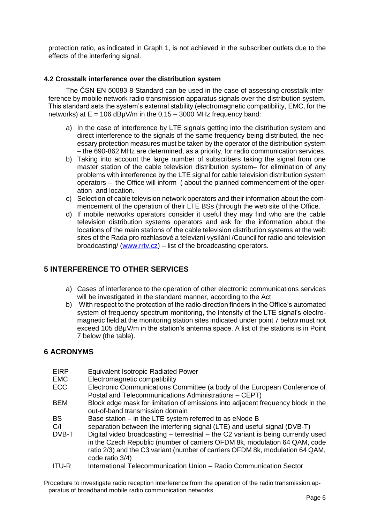protection ratio, as indicated in Graph 1, is not achieved in the subscriber outlets due to the effects of the interfering signal.

#### **4.2 Crosstalk interference over the distribution system**

The ČSN EN 50083-8 Standard can be used in the case of assessing crosstalk interference by mobile network radio transmission apparatus signals over the distribution system. This standard sets the system's external stability (electromagnetic compatibility, EMC, for the networks) at  $E = 106$  dB $\mu$ V/m in the 0,15 – 3000 MHz frequency band:

- a) In the case of interference by LTE signals getting into the distribution system and direct interference to the signals of the same frequency being distributed, the necessary protection measures must be taken by the operator of the distribution system – the 690-862 MHz are determined, as a priority, for radio communication services.
- b) Taking into account the large number of subscribers taking the signal from one master station of the cable television distribution system– for elimination of any problems with interference by the LTE signal for cable television distribution system operators – the Office will inform ( about the planned commencement of the operation and location.
- c) Selection of cable television network operators and their information about the commencement of the operation of their LTE BSs (through the web site of the Office.
- d) If mobile networks operators consider it useful they may find who are the cable television distribution systems operators and ask for the information about the locations of the main stations of the cable television distribution systems at the web sites of the Rada pro rozhlasové a televizní vysílání /Council for radio and television broadcasting/ [\(www.rrtv.cz\)](http://www.rrtv.cz/) – list of the broadcasting operators.

## **5 INTERFERENCE TO OTHER SERVICES**

- a) Cases of interference to the operation of other electronic communications services will be investigated in the standard manner, according to the Act.
- b) With respect to the protection of the radio direction finders in the Office's automated system of frequency spectrum monitoring, the intensity of the LTE signal's electromagnetic field at the monitoring station sites indicated under point 7 below must not exceed 105 dBμV/m in the station's antenna space. A list of the stations is in Point 7 below (the table).

## **6 ACRONYMS**

| <b>EIRP</b><br><b>EMC</b> | <b>Equivalent Isotropic Radiated Power</b><br>Electromagnetic compatibility                                                                                                                                                                                         |
|---------------------------|---------------------------------------------------------------------------------------------------------------------------------------------------------------------------------------------------------------------------------------------------------------------|
| <b>ECC</b>                | Electronic Communications Committee (a body of the European Conference of<br>Postal and Telecommunications Administrations - CEPT)                                                                                                                                  |
| <b>BEM</b>                | Block edge mask for limitation of emissions into adjacent frequency block in the<br>out-of-band transmission domain                                                                                                                                                 |
| <b>BS</b>                 | Base station - in the LTE system referred to as eNode B                                                                                                                                                                                                             |
| C/I                       | separation between the interfering signal (LTE) and useful signal (DVB-T)                                                                                                                                                                                           |
| DVB-T                     | Digital video broadcasting – terrestrial – the C2 variant is being currently used<br>in the Czech Republic (number of carriers OFDM 8k, modulation 64 QAM, code<br>ratio 2/3) and the C3 variant (number of carriers OFDM 8k, modulation 64 QAM,<br>code ratio 3/4) |
| <b>ITU-R</b>              | International Telecommunication Union - Radio Communication Sector                                                                                                                                                                                                  |